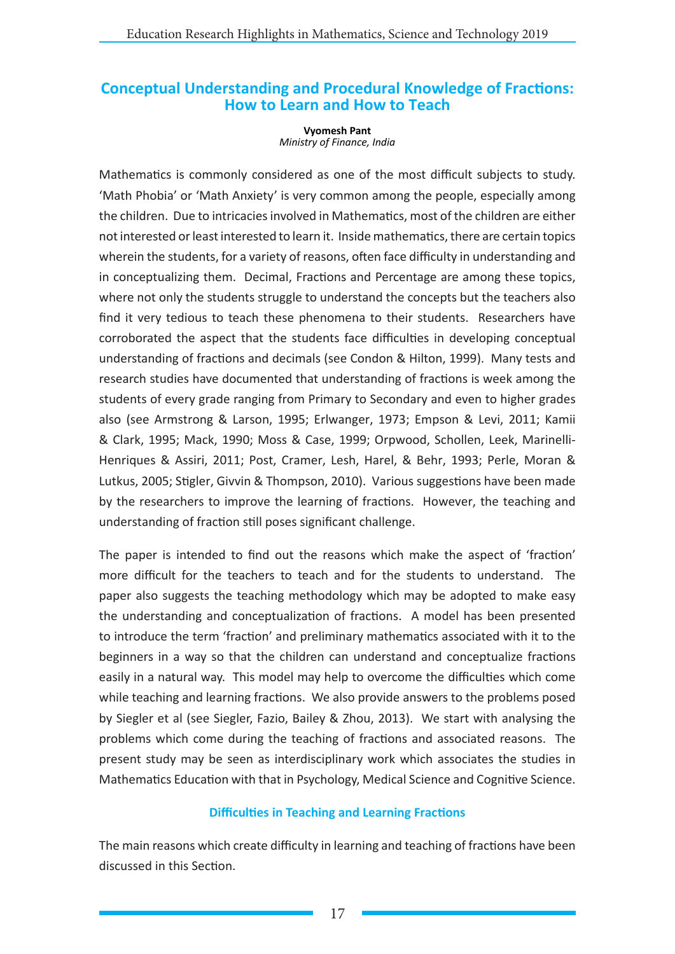# **Conceptual Understanding and Procedural Knowledge of Fractions: How to Learn and How to Teach**

**Vyomesh Pant** *Ministry of Finance, India*

Mathematics is commonly considered as one of the most difficult subjects to study. 'Math Phobia' or 'Math Anxiety' is very common among the people, especially among the children. Due to intricacies involved in Mathematics, most of the children are either not interested or least interested to learn it. Inside mathematics, there are certain topics wherein the students, for a variety of reasons, often face difficulty in understanding and in conceptualizing them. Decimal, Fractions and Percentage are among these topics, where not only the students struggle to understand the concepts but the teachers also find it very tedious to teach these phenomena to their students. Researchers have corroborated the aspect that the students face difficulties in developing conceptual understanding of fractions and decimals (see Condon & Hilton, 1999). Many tests and research studies have documented that understanding of fractions is week among the students of every grade ranging from Primary to Secondary and even to higher grades also (see Armstrong & Larson, 1995; Erlwanger, 1973; Empson & Levi, 2011; Kamii & Clark, 1995; Mack, 1990; Moss & Case, 1999; Orpwood, Schollen, Leek, Marinelli-Henriques & Assiri, 2011; Post, Cramer, Lesh, Harel, & Behr, 1993; Perle, Moran & Lutkus, 2005; Stigler, Givvin & Thompson, 2010). Various suggestions have been made by the researchers to improve the learning of fractions. However, the teaching and understanding of fraction still poses significant challenge.

The paper is intended to find out the reasons which make the aspect of 'fraction' more difficult for the teachers to teach and for the students to understand. The paper also suggests the teaching methodology which may be adopted to make easy the understanding and conceptualization of fractions. A model has been presented to introduce the term 'fraction' and preliminary mathematics associated with it to the beginners in a way so that the children can understand and conceptualize fractions easily in a natural way. This model may help to overcome the difficulties which come while teaching and learning fractions. We also provide answers to the problems posed by Siegler et al (see Siegler, Fazio, Bailey & Zhou, 2013). We start with analysing the problems which come during the teaching of fractions and associated reasons. The present study may be seen as interdisciplinary work which associates the studies in Mathematics Education with that in Psychology, Medical Science and Cognitive Science.

# **Difficulties in Teaching and Learning Fractions**

The main reasons which create difficulty in learning and teaching of fractions have been discussed in this Section.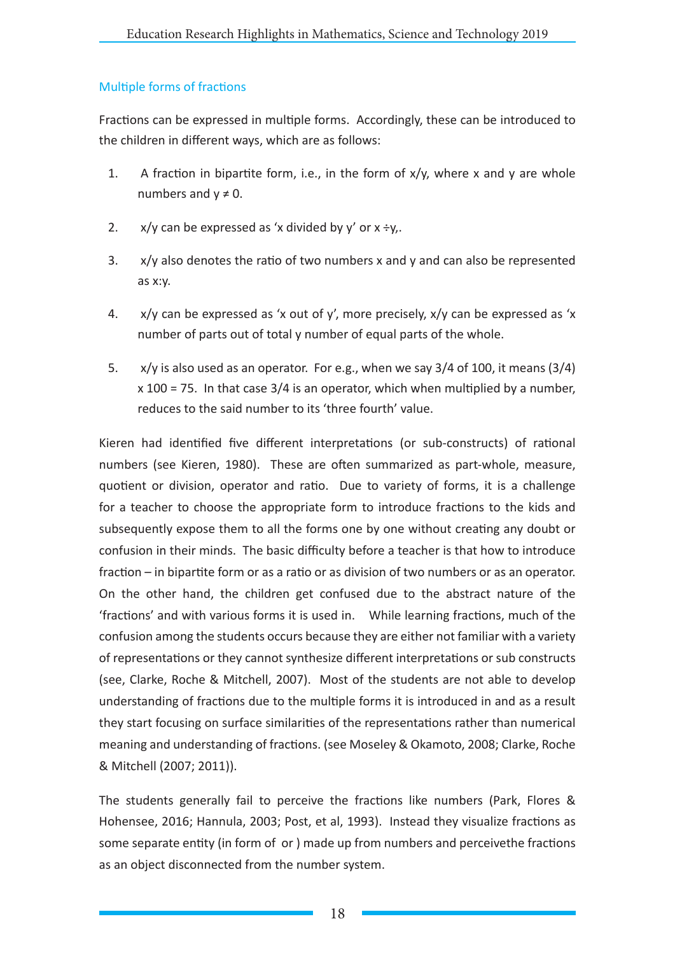# Multiple forms of fractions

Fractions can be expressed in multiple forms. Accordingly, these can be introduced to the children in different ways, which are as follows:

- 1. A fraction in bipartite form, i.e., in the form of  $x/y$ , where x and y are whole numbers and  $v \neq 0$ .
- 2.  $x/y$  can be expressed as 'x divided by y' or  $x \div y$ .
- 3. x/y also denotes the ratio of two numbers x and y and can also be represented as x:y.
- 4.  $x/y$  can be expressed as 'x out of y', more precisely,  $x/y$  can be expressed as 'x number of parts out of total y number of equal parts of the whole.
- 5. x/y is also used as an operator. For e.g., when we say 3/4 of 100, it means (3/4)  $x$  100 = 75. In that case 3/4 is an operator, which when multiplied by a number, reduces to the said number to its 'three fourth' value.

Kieren had identified five different interpretations (or sub-constructs) of rational numbers (see Kieren, 1980). These are often summarized as part-whole, measure, quotient or division, operator and ratio. Due to variety of forms, it is a challenge for a teacher to choose the appropriate form to introduce fractions to the kids and subsequently expose them to all the forms one by one without creating any doubt or confusion in their minds. The basic difficulty before a teacher is that how to introduce fraction – in bipartite form or as a ratio or as division of two numbers or as an operator. On the other hand, the children get confused due to the abstract nature of the 'fractions' and with various forms it is used in. While learning fractions, much of the confusion among the students occurs because they are either not familiar with a variety of representations or they cannot synthesize different interpretations or sub constructs (see, Clarke, Roche & Mitchell, 2007). Most of the students are not able to develop understanding of fractions due to the multiple forms it is introduced in and as a result they start focusing on surface similarities of the representations rather than numerical meaning and understanding of fractions. (see Moseley & Okamoto, 2008; Clarke, Roche & Mitchell (2007; 2011)).

The students generally fail to perceive the fractions like numbers (Park, Flores & Hohensee, 2016; Hannula, 2003; Post, et al, 1993). Instead they visualize fractions as some separate entity (in form of or ) made up from numbers and perceivethe fractions as an object disconnected from the number system.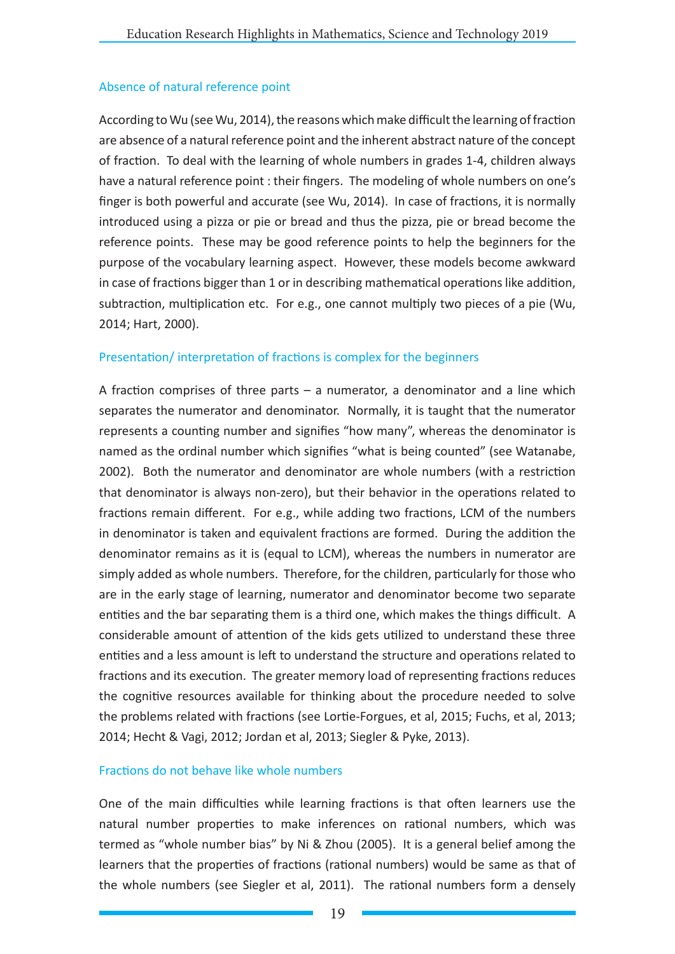## Absence of natural reference point

According to Wu (see Wu, 2014), the reasons which make difficult the learning of fraction are absence of a natural reference point and the inherent abstract nature of the concept of fraction. To deal with the learning of whole numbers in grades 1-4, children always have a natural reference point : their fingers. The modeling of whole numbers on one's finger is both powerful and accurate (see Wu, 2014). In case of fractions, it is normally introduced using a pizza or pie or bread and thus the pizza, pie or bread become the reference points. These may be good reference points to help the beginners for the purpose of the vocabulary learning aspect. However, these models become awkward in case of fractions bigger than 1 or in describing mathematical operations like addition, subtraction, multiplication etc. For e.g., one cannot multiply two pieces of a pie (Wu, 2014; Hart, 2000).

## Presentation/ interpretation of fractions is complex for the beginners

A fraction comprises of three parts – a numerator, a denominator and a line which separates the numerator and denominator. Normally, it is taught that the numerator represents a counting number and signifies "how many", whereas the denominator is named as the ordinal number which signifies "what is being counted" (see Watanabe, 2002). Both the numerator and denominator are whole numbers (with a restriction that denominator is always non-zero), but their behavior in the operations related to fractions remain different. For e.g., while adding two fractions, LCM of the numbers in denominator is taken and equivalent fractions are formed. During the addition the denominator remains as it is (equal to LCM), whereas the numbers in numerator are simply added as whole numbers. Therefore, for the children, particularly for those who are in the early stage of learning, numerator and denominator become two separate entities and the bar separating them is a third one, which makes the things difficult. A considerable amount of attention of the kids gets utilized to understand these three entities and a less amount is left to understand the structure and operations related to fractions and its execution. The greater memory load of representing fractions reduces the cognitive resources available for thinking about the procedure needed to solve the problems related with fractions (see Lortie-Forgues, et al, 2015; Fuchs, et al, 2013; 2014; Hecht & Vagi, 2012; Jordan et al, 2013; Siegler & Pyke, 2013).

### Fractions do not behave like whole numbers

One of the main difficulties while learning fractions is that often learners use the natural number properties to make inferences on rational numbers, which was termed as "whole number bias" by Ni & Zhou (2005). It is a general belief among the learners that the properties of fractions (rational numbers) would be same as that of the whole numbers (see Siegler et al, 2011). The rational numbers form a densely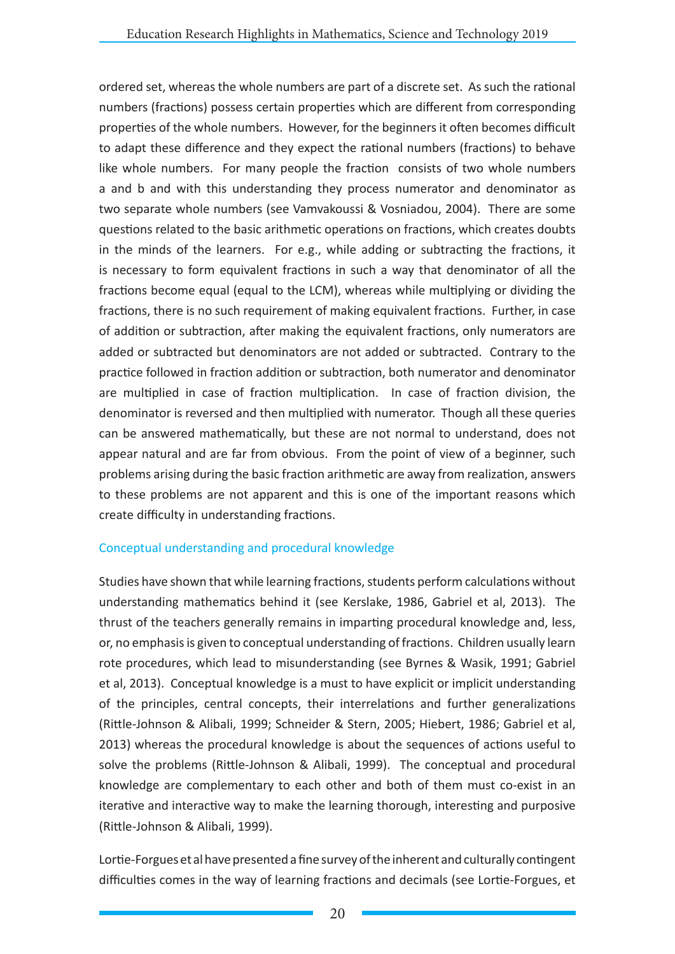ordered set, whereas the whole numbers are part of a discrete set. As such the rational numbers (fractions) possess certain properties which are different from corresponding properties of the whole numbers. However, for the beginners it often becomes difficult to adapt these difference and they expect the rational numbers (fractions) to behave like whole numbers. For many people the fraction consists of two whole numbers a and b and with this understanding they process numerator and denominator as two separate whole numbers (see Vamvakoussi & Vosniadou, 2004). There are some questions related to the basic arithmetic operations on fractions, which creates doubts in the minds of the learners. For e.g., while adding or subtracting the fractions, it is necessary to form equivalent fractions in such a way that denominator of all the fractions become equal (equal to the LCM), whereas while multiplying or dividing the fractions, there is no such requirement of making equivalent fractions. Further, in case of addition or subtraction, after making the equivalent fractions, only numerators are added or subtracted but denominators are not added or subtracted. Contrary to the practice followed in fraction addition or subtraction, both numerator and denominator are multiplied in case of fraction multiplication. In case of fraction division, the denominator is reversed and then multiplied with numerator. Though all these queries can be answered mathematically, but these are not normal to understand, does not appear natural and are far from obvious. From the point of view of a beginner, such problems arising during the basic fraction arithmetic are away from realization, answers to these problems are not apparent and this is one of the important reasons which create difficulty in understanding fractions.

### Conceptual understanding and procedural knowledge

Studies have shown that while learning fractions, students perform calculations without understanding mathematics behind it (see Kerslake, 1986, Gabriel et al, 2013). The thrust of the teachers generally remains in imparting procedural knowledge and, less, or, no emphasis is given to conceptual understanding of fractions. Children usually learn rote procedures, which lead to misunderstanding (see Byrnes & Wasik, 1991; Gabriel et al, 2013). Conceptual knowledge is a must to have explicit or implicit understanding of the principles, central concepts, their interrelations and further generalizations (Rittle-Johnson & Alibali, 1999; Schneider & Stern, 2005; Hiebert, 1986; Gabriel et al, 2013) whereas the procedural knowledge is about the sequences of actions useful to solve the problems (Rittle-Johnson & Alibali, 1999). The conceptual and procedural knowledge are complementary to each other and both of them must co-exist in an iterative and interactive way to make the learning thorough, interesting and purposive (Rittle-Johnson & Alibali, 1999).

Lortie-Forgues et al have presented a fine survey of the inherent and culturally contingent difficulties comes in the way of learning fractions and decimals (see Lortie-Forgues, et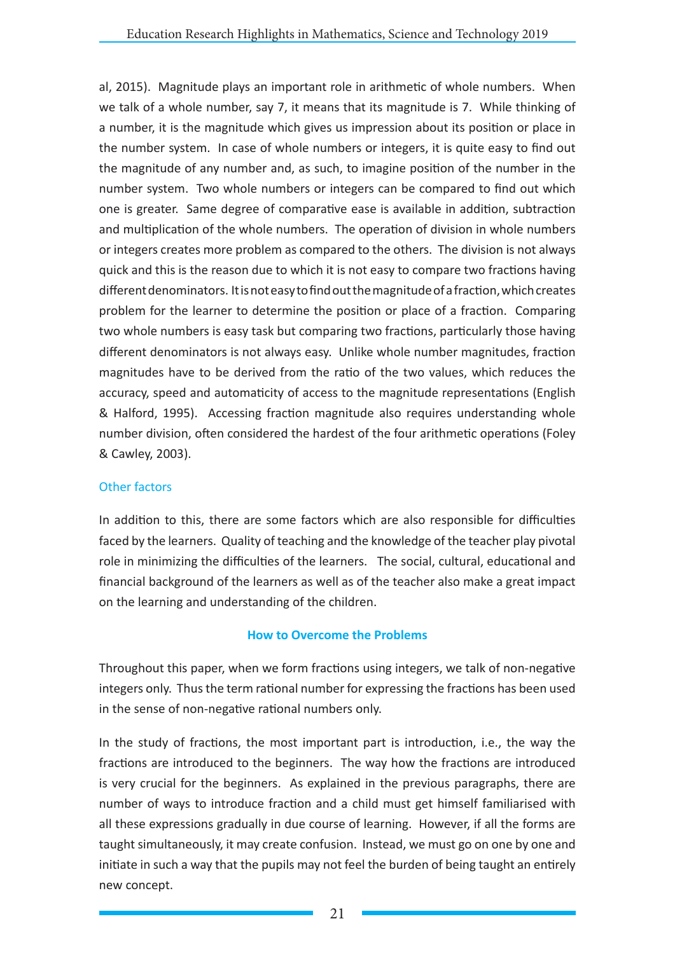al, 2015). Magnitude plays an important role in arithmetic of whole numbers. When we talk of a whole number, say 7, it means that its magnitude is 7. While thinking of a number, it is the magnitude which gives us impression about its position or place in the number system. In case of whole numbers or integers, it is quite easy to find out the magnitude of any number and, as such, to imagine position of the number in the number system. Two whole numbers or integers can be compared to find out which one is greater. Same degree of comparative ease is available in addition, subtraction and multiplication of the whole numbers. The operation of division in whole numbers or integers creates more problem as compared to the others. The division is not always quick and this is the reason due to which it is not easy to compare two fractions having different denominators. It is not easy to find out the magnitude of a fraction, which creates problem for the learner to determine the position or place of a fraction. Comparing two whole numbers is easy task but comparing two fractions, particularly those having different denominators is not always easy. Unlike whole number magnitudes, fraction magnitudes have to be derived from the ratio of the two values, which reduces the accuracy, speed and automaticity of access to the magnitude representations (English & Halford, 1995). Accessing fraction magnitude also requires understanding whole number division, often considered the hardest of the four arithmetic operations (Foley & Cawley, 2003).

# Other factors

In addition to this, there are some factors which are also responsible for difficulties faced by the learners. Quality of teaching and the knowledge of the teacher play pivotal role in minimizing the difficulties of the learners. The social, cultural, educational and financial background of the learners as well as of the teacher also make a great impact on the learning and understanding of the children.

# **How to Overcome the Problems**

Throughout this paper, when we form fractions using integers, we talk of non-negative integers only. Thus the term rational number for expressing the fractions has been used in the sense of non-negative rational numbers only.

In the study of fractions, the most important part is introduction, i.e., the way the fractions are introduced to the beginners. The way how the fractions are introduced is very crucial for the beginners. As explained in the previous paragraphs, there are number of ways to introduce fraction and a child must get himself familiarised with all these expressions gradually in due course of learning. However, if all the forms are taught simultaneously, it may create confusion. Instead, we must go on one by one and initiate in such a way that the pupils may not feel the burden of being taught an entirely new concept.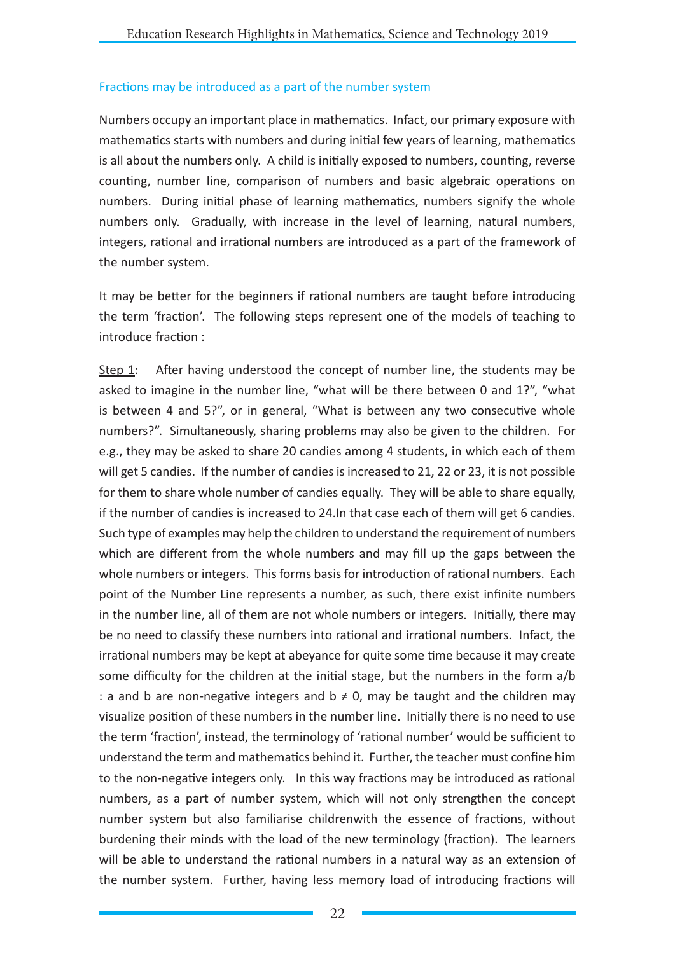## Fractions may be introduced as a part of the number system

Numbers occupy an important place in mathematics. Infact, our primary exposure with mathematics starts with numbers and during initial few years of learning, mathematics is all about the numbers only. A child is initially exposed to numbers, counting, reverse counting, number line, comparison of numbers and basic algebraic operations on numbers. During initial phase of learning mathematics, numbers signify the whole numbers only. Gradually, with increase in the level of learning, natural numbers, integers, rational and irrational numbers are introduced as a part of the framework of the number system.

It may be better for the beginners if rational numbers are taught before introducing the term 'fraction'. The following steps represent one of the models of teaching to introduce fraction :

Step 1: After having understood the concept of number line, the students may be asked to imagine in the number line, "what will be there between 0 and 1?", "what is between 4 and 5?", or in general, "What is between any two consecutive whole numbers?". Simultaneously, sharing problems may also be given to the children. For e.g., they may be asked to share 20 candies among 4 students, in which each of them will get 5 candies. If the number of candies is increased to 21, 22 or 23, it is not possible for them to share whole number of candies equally. They will be able to share equally, if the number of candies is increased to 24.In that case each of them will get 6 candies. Such type of examples may help the children to understand the requirement of numbers which are different from the whole numbers and may fill up the gaps between the whole numbers or integers. This forms basis for introduction of rational numbers. Each point of the Number Line represents a number, as such, there exist infinite numbers in the number line, all of them are not whole numbers or integers. Initially, there may be no need to classify these numbers into rational and irrational numbers. Infact, the irrational numbers may be kept at abeyance for quite some time because it may create some difficulty for the children at the initial stage, but the numbers in the form a/b : a and b are non-negative integers and  $b \neq 0$ , may be taught and the children may visualize position of these numbers in the number line. Initially there is no need to use the term 'fraction', instead, the terminology of 'rational number' would be sufficient to understand the term and mathematics behind it. Further, the teacher must confine him to the non-negative integers only. In this way fractions may be introduced as rational numbers, as a part of number system, which will not only strengthen the concept number system but also familiarise childrenwith the essence of fractions, without burdening their minds with the load of the new terminology (fraction). The learners will be able to understand the rational numbers in a natural way as an extension of the number system. Further, having less memory load of introducing fractions will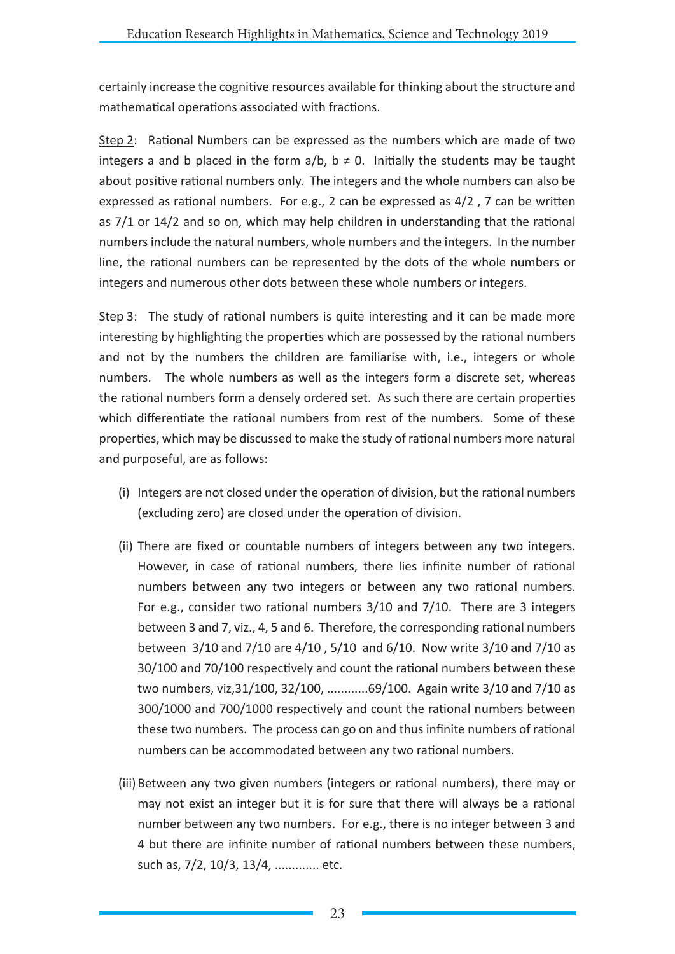certainly increase the cognitive resources available for thinking about the structure and mathematical operations associated with fractions.

Step 2: Rational Numbers can be expressed as the numbers which are made of two integers a and b placed in the form  $a/b$ ,  $b \ne 0$ . Initially the students may be taught about positive rational numbers only. The integers and the whole numbers can also be expressed as rational numbers. For e.g., 2 can be expressed as 4/2 , 7 can be written as 7/1 or 14/2 and so on, which may help children in understanding that the rational numbers include the natural numbers, whole numbers and the integers. In the number line, the rational numbers can be represented by the dots of the whole numbers or integers and numerous other dots between these whole numbers or integers.

Step 3: The study of rational numbers is quite interesting and it can be made more interesting by highlighting the properties which are possessed by the rational numbers and not by the numbers the children are familiarise with, i.e., integers or whole numbers. The whole numbers as well as the integers form a discrete set, whereas the rational numbers form a densely ordered set. As such there are certain properties which differentiate the rational numbers from rest of the numbers. Some of these properties, which may be discussed to make the study of rational numbers more natural and purposeful, are as follows:

- (i) Integers are not closed under the operation of division, but the rational numbers (excluding zero) are closed under the operation of division.
- (ii) There are fixed or countable numbers of integers between any two integers. However, in case of rational numbers, there lies infinite number of rational numbers between any two integers or between any two rational numbers. For e.g., consider two rational numbers 3/10 and 7/10. There are 3 integers between 3 and 7, viz., 4, 5 and 6. Therefore, the corresponding rational numbers between 3/10 and 7/10 are 4/10 , 5/10 and 6/10. Now write 3/10 and 7/10 as 30/100 and 70/100 respectively and count the rational numbers between these two numbers, viz,31/100, 32/100, ............69/100. Again write 3/10 and 7/10 as 300/1000 and 700/1000 respectively and count the rational numbers between these two numbers. The process can go on and thus infinite numbers of rational numbers can be accommodated between any two rational numbers.
- (iii)Between any two given numbers (integers or rational numbers), there may or may not exist an integer but it is for sure that there will always be a rational number between any two numbers. For e.g., there is no integer between 3 and 4 but there are infinite number of rational numbers between these numbers, such as, 7/2, 10/3, 13/4, ............. etc.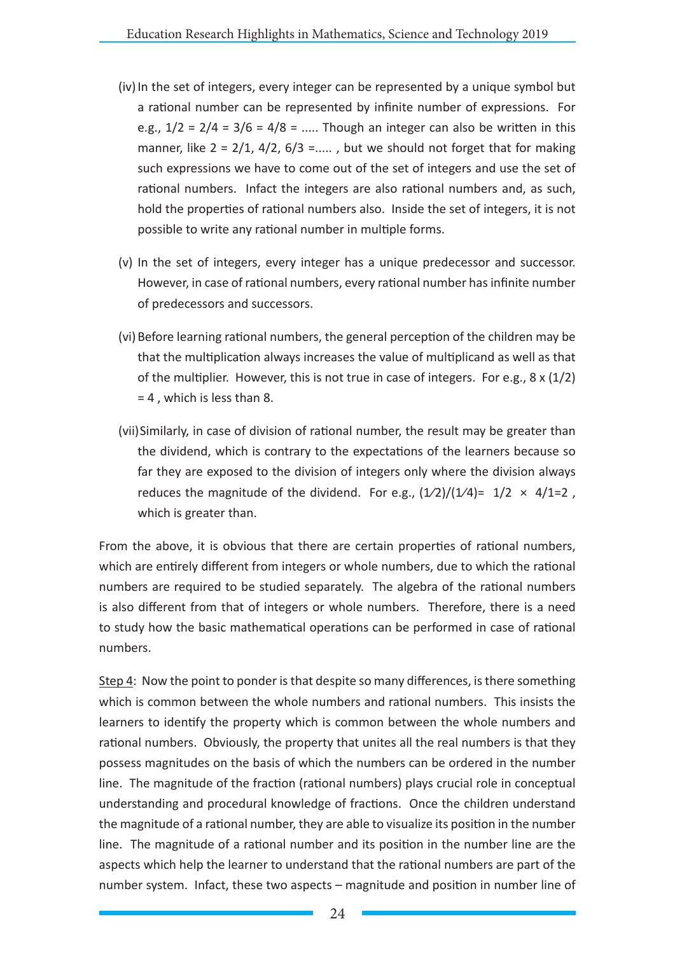- (iv) In the set of integers, every integer can be represented by a unique symbol but a rational number can be represented by infinite number of expressions. For e.g.,  $1/2 = 2/4 = 3/6 = 4/8 =$  ..... Though an integer can also be written in this manner, like  $2 = 2/1$ ,  $4/2$ ,  $6/3 =$ ....., but we should not forget that for making such expressions we have to come out of the set of integers and use the set of rational numbers. Infact the integers are also rational numbers and, as such, hold the properties of rational numbers also. Inside the set of integers, it is not possible to write any rational number in multiple forms.
- (v) In the set of integers, every integer has a unique predecessor and successor. However, in case of rational numbers, every rational number has infinite number of predecessors and successors.
- (vi)Before learning rational numbers, the general perception of the children may be that the multiplication always increases the value of multiplicand as well as that of the multiplier. However, this is not true in case of integers. For e.g.,  $8 \times (1/2)$ = 4 , which is less than 8.
- (vii)Similarly, in case of division of rational number, the result may be greater than the dividend, which is contrary to the expectations of the learners because so far they are exposed to the division of integers only where the division always reduces the magnitude of the dividend. For e.g.,  $(1/2)/(1/4)$ = 1/2  $\times$  4/1=2, which is greater than.

From the above, it is obvious that there are certain properties of rational numbers, which are entirely different from integers or whole numbers, due to which the rational numbers are required to be studied separately. The algebra of the rational numbers is also different from that of integers or whole numbers. Therefore, there is a need to study how the basic mathematical operations can be performed in case of rational numbers.

Step 4: Now the point to ponder is that despite so many differences, is there something which is common between the whole numbers and rational numbers. This insists the learners to identify the property which is common between the whole numbers and rational numbers. Obviously, the property that unites all the real numbers is that they possess magnitudes on the basis of which the numbers can be ordered in the number line. The magnitude of the fraction (rational numbers) plays crucial role in conceptual understanding and procedural knowledge of fractions. Once the children understand the magnitude of a rational number, they are able to visualize its position in the number line. The magnitude of a rational number and its position in the number line are the aspects which help the learner to understand that the rational numbers are part of the number system. Infact, these two aspects – magnitude and position in number line of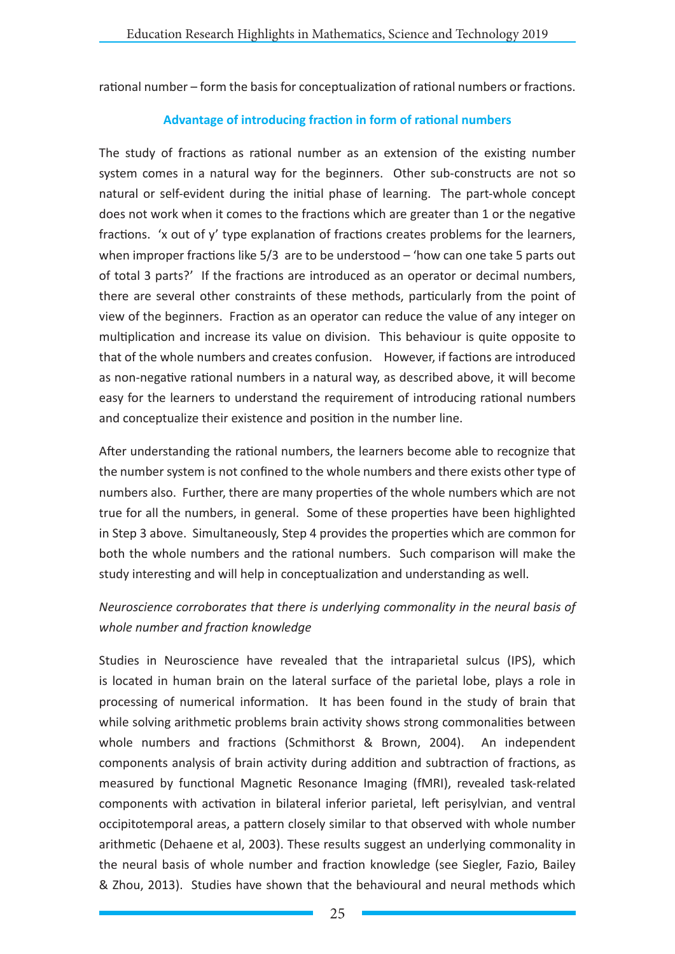rational number – form the basis for conceptualization of rational numbers or fractions.

## **Advantage of introducing fraction in form of rational numbers**

The study of fractions as rational number as an extension of the existing number system comes in a natural way for the beginners. Other sub-constructs are not so natural or self-evident during the initial phase of learning. The part-whole concept does not work when it comes to the fractions which are greater than 1 or the negative fractions. 'x out of y' type explanation of fractions creates problems for the learners, when improper fractions like 5/3 are to be understood – 'how can one take 5 parts out of total 3 parts?' If the fractions are introduced as an operator or decimal numbers, there are several other constraints of these methods, particularly from the point of view of the beginners. Fraction as an operator can reduce the value of any integer on multiplication and increase its value on division. This behaviour is quite opposite to that of the whole numbers and creates confusion. However, if factions are introduced as non-negative rational numbers in a natural way, as described above, it will become easy for the learners to understand the requirement of introducing rational numbers and conceptualize their existence and position in the number line.

After understanding the rational numbers, the learners become able to recognize that the number system is not confined to the whole numbers and there exists other type of numbers also. Further, there are many properties of the whole numbers which are not true for all the numbers, in general. Some of these properties have been highlighted in Step 3 above. Simultaneously, Step 4 provides the properties which are common for both the whole numbers and the rational numbers. Such comparison will make the study interesting and will help in conceptualization and understanding as well.

# *Neuroscience corroborates that there is underlying commonality in the neural basis of whole number and fraction knowledge*

Studies in Neuroscience have revealed that the intraparietal sulcus (IPS), which is located in human brain on the lateral surface of the parietal lobe, plays a role in processing of numerical information. It has been found in the study of brain that while solving arithmetic problems brain activity shows strong commonalities between whole numbers and fractions (Schmithorst & Brown, 2004). An independent components analysis of brain activity during addition and subtraction of fractions, as measured by functional Magnetic Resonance Imaging (fMRI), revealed task-related components with activation in bilateral inferior parietal, left perisylvian, and ventral occipitotemporal areas, a pattern closely similar to that observed with whole number arithmetic (Dehaene et al, 2003). These results suggest an underlying commonality in the neural basis of whole number and fraction knowledge (see Siegler, Fazio, Bailey & Zhou, 2013). Studies have shown that the behavioural and neural methods which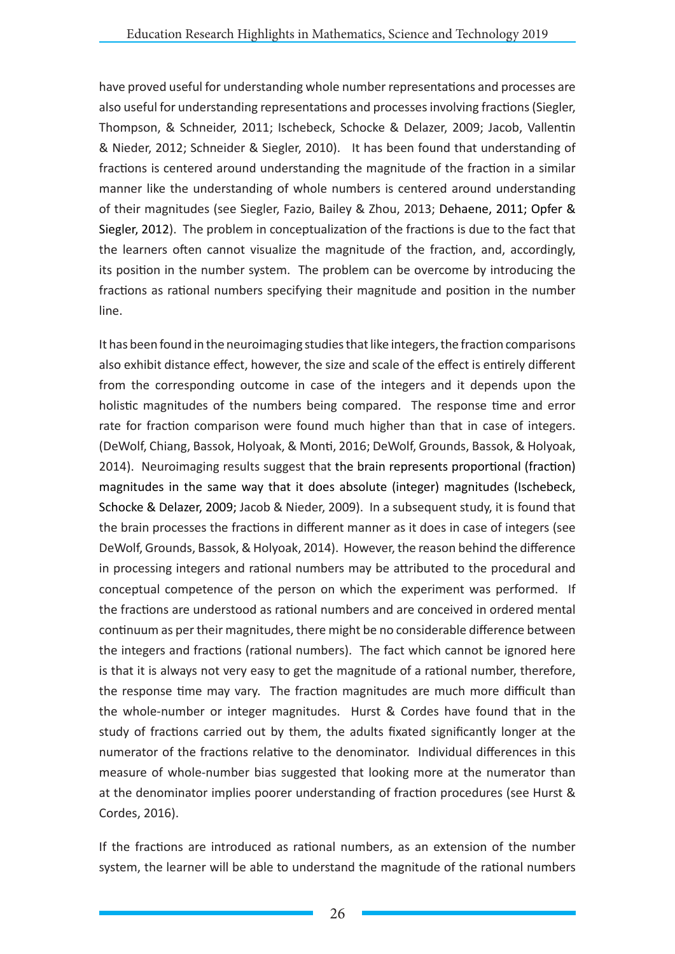have proved useful for understanding whole number representations and processes are also useful for understanding representations and processes involving fractions (Siegler, Thompson, & Schneider, 2011; Ischebeck, Schocke & Delazer, 2009; Jacob, Vallentin & Nieder, 2012; Schneider & Siegler, 2010). It has been found that understanding of fractions is centered around understanding the magnitude of the fraction in a similar manner like the understanding of whole numbers is centered around understanding of their magnitudes (see Siegler, Fazio, Bailey & Zhou, 2013; Dehaene, 2011; Opfer & Siegler, 2012). The problem in conceptualization of the fractions is due to the fact that the learners often cannot visualize the magnitude of the fraction, and, accordingly, its position in the number system. The problem can be overcome by introducing the fractions as rational numbers specifying their magnitude and position in the number line.

It has been found in the neuroimaging studies that like integers, the fraction comparisons also exhibit distance effect, however, the size and scale of the effect is entirely different from the corresponding outcome in case of the integers and it depends upon the holistic magnitudes of the numbers being compared. The response time and error rate for fraction comparison were found much higher than that in case of integers. (DeWolf, Chiang, Bassok, Holyoak, & Monti, 2016; DeWolf, Grounds, Bassok, & Holyoak, 2014). Neuroimaging results suggest that the brain represents proportional (fraction) magnitudes in the same way that it does absolute (integer) magnitudes (Ischebeck, Schocke & Delazer, 2009; Jacob & Nieder, 2009). In a subsequent study, it is found that the brain processes the fractions in different manner as it does in case of integers (see DeWolf, Grounds, Bassok, & Holyoak, 2014). However, the reason behind the difference in processing integers and rational numbers may be attributed to the procedural and conceptual competence of the person on which the experiment was performed. If the fractions are understood as rational numbers and are conceived in ordered mental continuum as per their magnitudes, there might be no considerable difference between the integers and fractions (rational numbers). The fact which cannot be ignored here is that it is always not very easy to get the magnitude of a rational number, therefore, the response time may vary. The fraction magnitudes are much more difficult than the whole-number or integer magnitudes. Hurst & Cordes have found that in the study of fractions carried out by them, the adults fixated significantly longer at the numerator of the fractions relative to the denominator. Individual differences in this measure of whole-number bias suggested that looking more at the numerator than at the denominator implies poorer understanding of fraction procedures (see Hurst & Cordes, 2016).

If the fractions are introduced as rational numbers, as an extension of the number system, the learner will be able to understand the magnitude of the rational numbers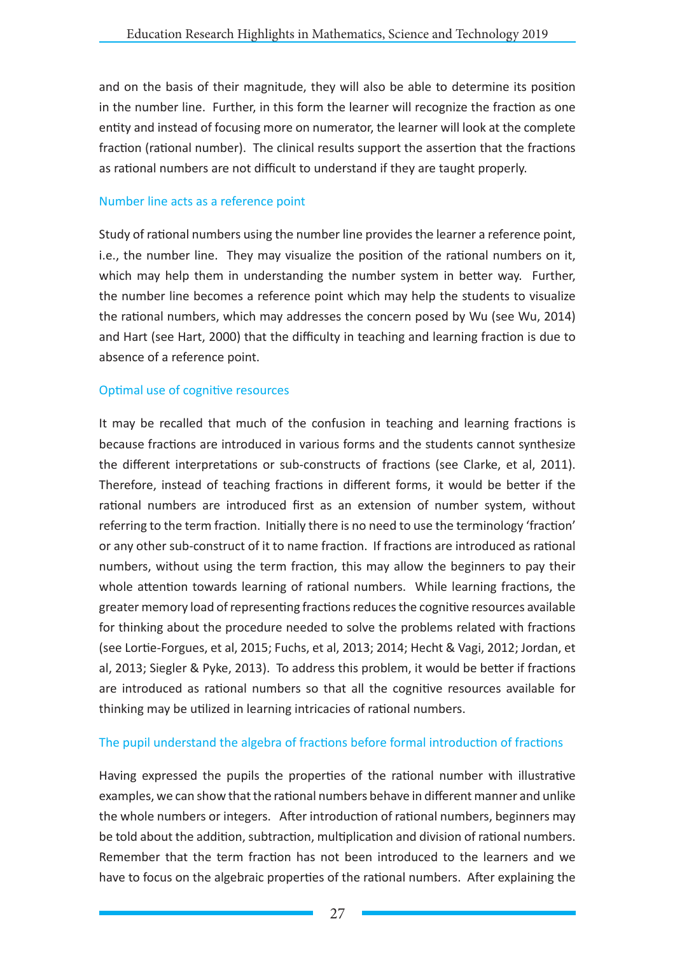and on the basis of their magnitude, they will also be able to determine its position in the number line. Further, in this form the learner will recognize the fraction as one entity and instead of focusing more on numerator, the learner will look at the complete fraction (rational number). The clinical results support the assertion that the fractions as rational numbers are not difficult to understand if they are taught properly.

### Number line acts as a reference point

Study of rational numbers using the number line provides the learner a reference point, i.e., the number line. They may visualize the position of the rational numbers on it, which may help them in understanding the number system in better way. Further, the number line becomes a reference point which may help the students to visualize the rational numbers, which may addresses the concern posed by Wu (see Wu, 2014) and Hart (see Hart, 2000) that the difficulty in teaching and learning fraction is due to absence of a reference point.

### Optimal use of cognitive resources

It may be recalled that much of the confusion in teaching and learning fractions is because fractions are introduced in various forms and the students cannot synthesize the different interpretations or sub-constructs of fractions (see Clarke, et al, 2011). Therefore, instead of teaching fractions in different forms, it would be better if the rational numbers are introduced first as an extension of number system, without referring to the term fraction. Initially there is no need to use the terminology 'fraction' or any other sub-construct of it to name fraction. If fractions are introduced as rational numbers, without using the term fraction, this may allow the beginners to pay their whole attention towards learning of rational numbers. While learning fractions, the greater memory load of representing fractions reduces the cognitive resources available for thinking about the procedure needed to solve the problems related with fractions (see Lortie-Forgues, et al, 2015; Fuchs, et al, 2013; 2014; Hecht & Vagi, 2012; Jordan, et al, 2013; Siegler & Pyke, 2013). To address this problem, it would be better if fractions are introduced as rational numbers so that all the cognitive resources available for thinking may be utilized in learning intricacies of rational numbers.

### The pupil understand the algebra of fractions before formal introduction of fractions

Having expressed the pupils the properties of the rational number with illustrative examples, we can show that the rational numbers behave in different manner and unlike the whole numbers or integers. After introduction of rational numbers, beginners may be told about the addition, subtraction, multiplication and division of rational numbers. Remember that the term fraction has not been introduced to the learners and we have to focus on the algebraic properties of the rational numbers. After explaining the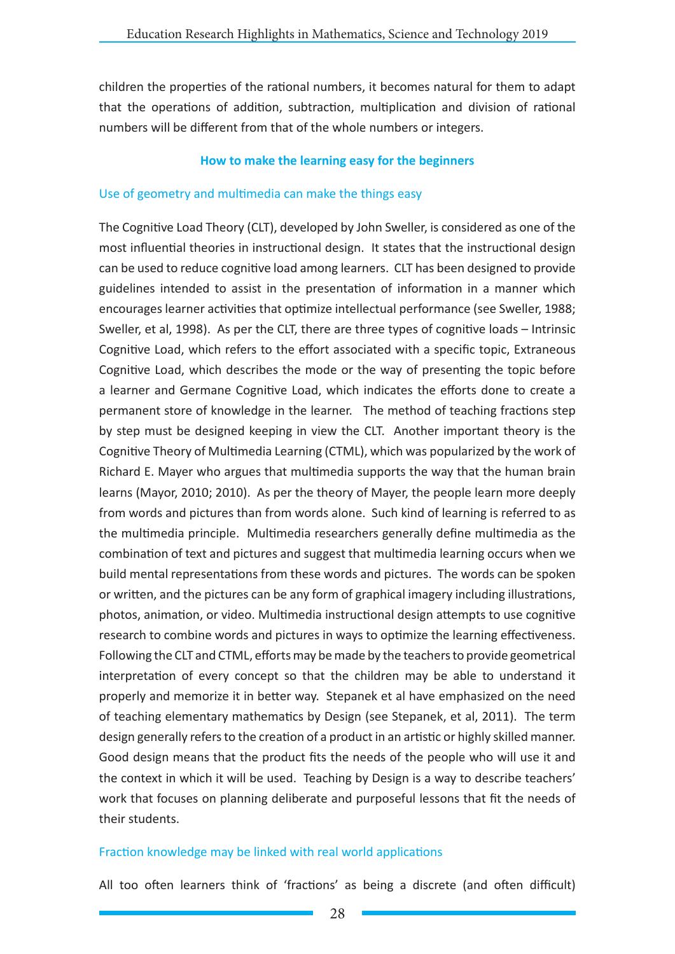children the properties of the rational numbers, it becomes natural for them to adapt that the operations of addition, subtraction, multiplication and division of rational numbers will be different from that of the whole numbers or integers.

### **How to make the learning easy for the beginners**

### Use of geometry and multimedia can make the things easy

The Cognitive Load Theory (CLT), developed by John Sweller, is considered as one of the most influential theories in instructional design. It states that the instructional design can be used to reduce cognitive load among learners. CLT has been designed to provide guidelines intended to assist in the presentation of information in a manner which encourages learner activities that optimize intellectual performance (see Sweller, 1988; Sweller, et al, 1998). As per the CLT, there are three types of cognitive loads – Intrinsic Cognitive Load, which refers to the effort associated with a specific topic, Extraneous Cognitive Load, which describes the mode or the way of presenting the topic before a learner and Germane Cognitive Load, which indicates the efforts done to create a permanent store of knowledge in the learner. The method of teaching fractions step by step must be designed keeping in view the CLT. Another important theory is the Cognitive Theory of Multimedia Learning (CTML), which was popularized by the work of Richard E. Mayer who argues that multimedia supports the way that the human brain learns (Mayor, 2010; 2010). As per the theory of Mayer, the people learn more deeply from words and pictures than from words alone. Such kind of learning is referred to as the multimedia principle. Multimedia researchers generally define multimedia as the combination of text and pictures and suggest that multimedia learning occurs when we build mental representations from these words and pictures. The words can be spoken or written, and the pictures can be any form of graphical imagery including illustrations, photos, animation, or video. Multimedia instructional design attempts to use cognitive research to combine words and pictures in ways to optimize the learning effectiveness. Following the CLT and CTML, efforts may be made by the teachers to provide geometrical interpretation of every concept so that the children may be able to understand it properly and memorize it in better way. Stepanek et al have emphasized on the need of teaching elementary mathematics by Design (see Stepanek, et al, 2011). The term design generally refers to the creation of a product in an artistic or highly skilled manner. Good design means that the product fits the needs of the people who will use it and the context in which it will be used. Teaching by Design is a way to describe teachers' work that focuses on planning deliberate and purposeful lessons that fit the needs of their students.

### Fraction knowledge may be linked with real world applications

All too often learners think of 'fractions' as being a discrete (and often difficult)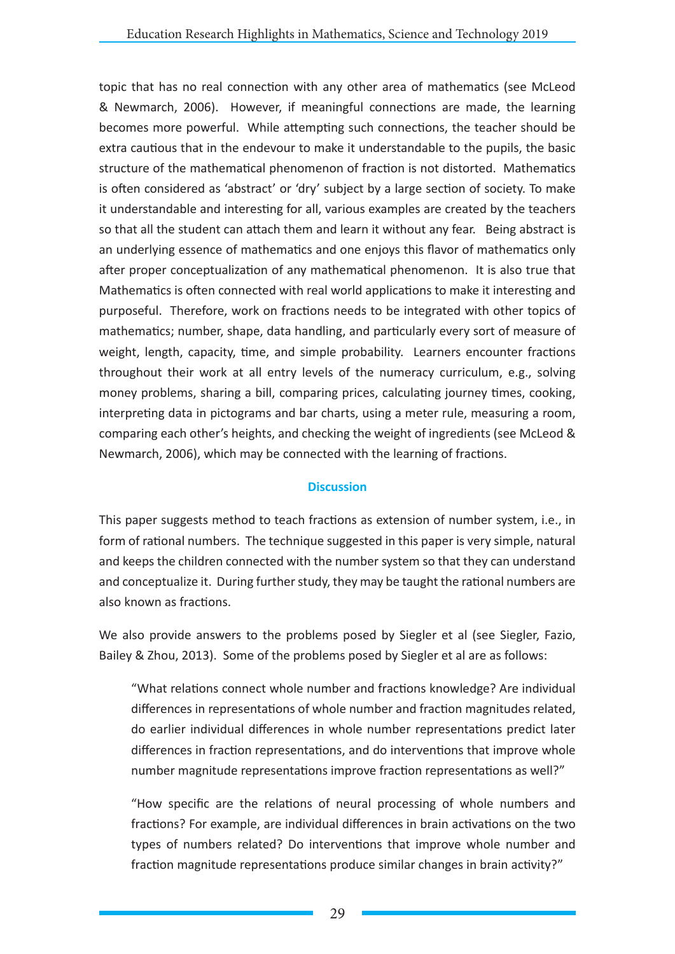topic that has no real connection with any other area of mathematics (see McLeod & Newmarch, 2006). However, if meaningful connections are made, the learning becomes more powerful. While attempting such connections, the teacher should be extra cautious that in the endevour to make it understandable to the pupils, the basic structure of the mathematical phenomenon of fraction is not distorted. Mathematics is often considered as 'abstract' or 'dry' subject by a large section of society. To make it understandable and interesting for all, various examples are created by the teachers so that all the student can attach them and learn it without any fear. Being abstract is an underlying essence of mathematics and one enjoys this flavor of mathematics only after proper conceptualization of any mathematical phenomenon. It is also true that Mathematics is often connected with real world applications to make it interesting and purposeful. Therefore, work on fractions needs to be integrated with other topics of mathematics; number, shape, data handling, and particularly every sort of measure of weight, length, capacity, time, and simple probability. Learners encounter fractions throughout their work at all entry levels of the numeracy curriculum, e.g., solving money problems, sharing a bill, comparing prices, calculating journey times, cooking, interpreting data in pictograms and bar charts, using a meter rule, measuring a room, comparing each other's heights, and checking the weight of ingredients (see McLeod & Newmarch, 2006), which may be connected with the learning of fractions.

### **Discussion**

This paper suggests method to teach fractions as extension of number system, i.e., in form of rational numbers. The technique suggested in this paper is very simple, natural and keeps the children connected with the number system so that they can understand and conceptualize it. During further study, they may be taught the rational numbers are also known as fractions.

We also provide answers to the problems posed by Siegler et al (see Siegler, Fazio, Bailey & Zhou, 2013). Some of the problems posed by Siegler et al are as follows:

"What relations connect whole number and fractions knowledge? Are individual differences in representations of whole number and fraction magnitudes related, do earlier individual differences in whole number representations predict later differences in fraction representations, and do interventions that improve whole number magnitude representations improve fraction representations as well?"

"How specific are the relations of neural processing of whole numbers and fractions? For example, are individual differences in brain activations on the two types of numbers related? Do interventions that improve whole number and fraction magnitude representations produce similar changes in brain activity?"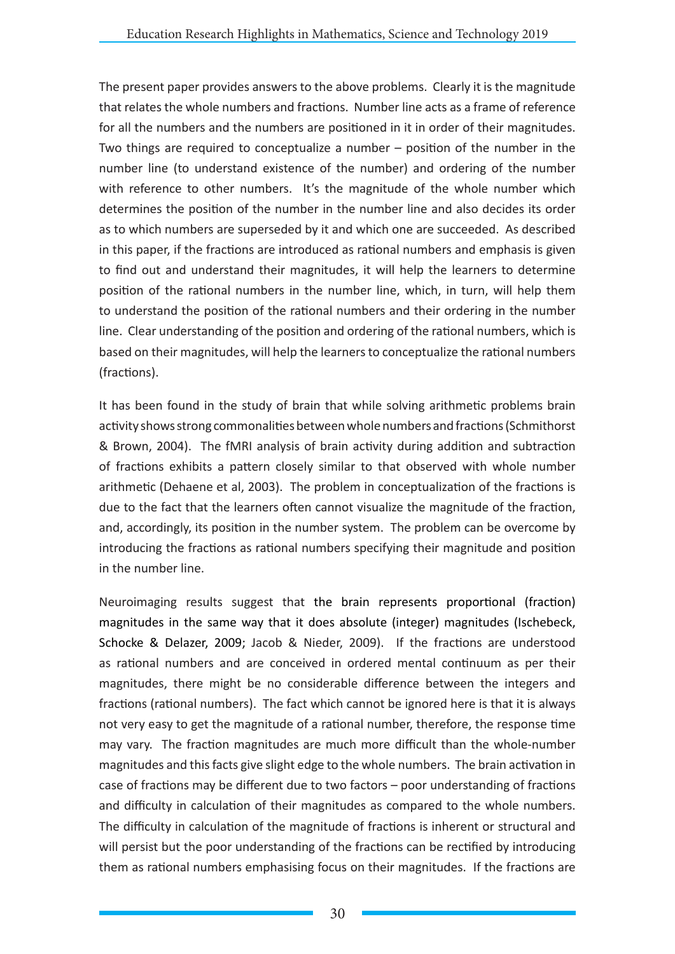The present paper provides answers to the above problems. Clearly it is the magnitude that relates the whole numbers and fractions. Number line acts as a frame of reference for all the numbers and the numbers are positioned in it in order of their magnitudes. Two things are required to conceptualize a number – position of the number in the number line (to understand existence of the number) and ordering of the number with reference to other numbers. It's the magnitude of the whole number which determines the position of the number in the number line and also decides its order as to which numbers are superseded by it and which one are succeeded. As described in this paper, if the fractions are introduced as rational numbers and emphasis is given to find out and understand their magnitudes, it will help the learners to determine position of the rational numbers in the number line, which, in turn, will help them to understand the position of the rational numbers and their ordering in the number line. Clear understanding of the position and ordering of the rational numbers, which is based on their magnitudes, will help the learners to conceptualize the rational numbers (fractions).

It has been found in the study of brain that while solving arithmetic problems brain activity shows strong commonalities between whole numbers and fractions (Schmithorst & Brown, 2004). The fMRI analysis of brain activity during addition and subtraction of fractions exhibits a pattern closely similar to that observed with whole number arithmetic (Dehaene et al, 2003). The problem in conceptualization of the fractions is due to the fact that the learners often cannot visualize the magnitude of the fraction, and, accordingly, its position in the number system. The problem can be overcome by introducing the fractions as rational numbers specifying their magnitude and position in the number line.

Neuroimaging results suggest that the brain represents proportional (fraction) magnitudes in the same way that it does absolute (integer) magnitudes (Ischebeck, Schocke & Delazer, 2009; Jacob & Nieder, 2009). If the fractions are understood as rational numbers and are conceived in ordered mental continuum as per their magnitudes, there might be no considerable difference between the integers and fractions (rational numbers). The fact which cannot be ignored here is that it is always not very easy to get the magnitude of a rational number, therefore, the response time may vary. The fraction magnitudes are much more difficult than the whole-number magnitudes and this facts give slight edge to the whole numbers. The brain activation in case of fractions may be different due to two factors – poor understanding of fractions and difficulty in calculation of their magnitudes as compared to the whole numbers. The difficulty in calculation of the magnitude of fractions is inherent or structural and will persist but the poor understanding of the fractions can be rectified by introducing them as rational numbers emphasising focus on their magnitudes. If the fractions are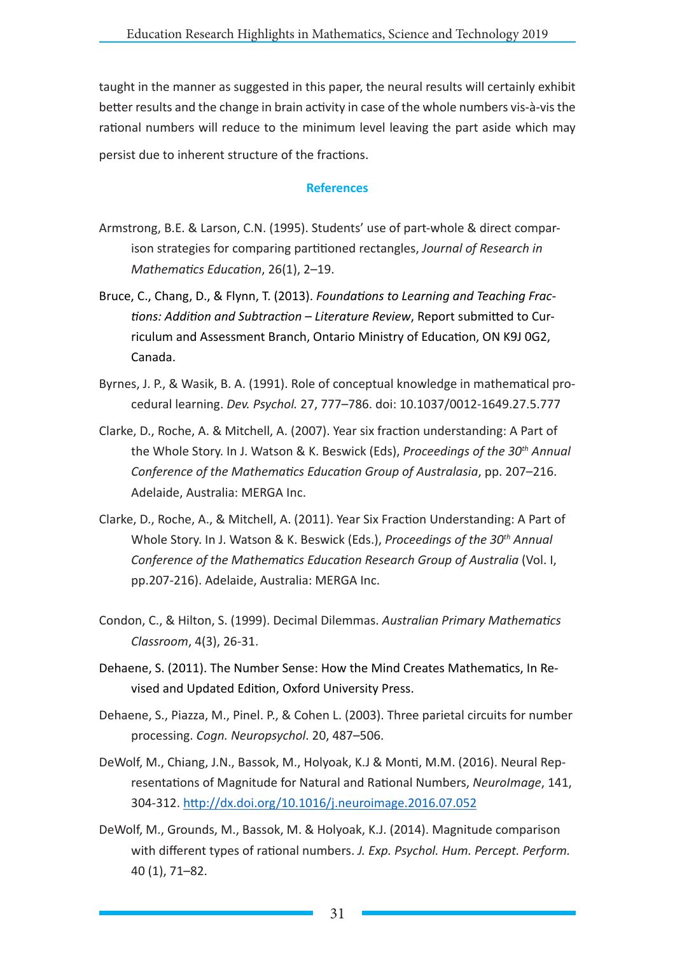taught in the manner as suggested in this paper, the neural results will certainly exhibit better results and the change in brain activity in case of the whole numbers vis-à-vis the rational numbers will reduce to the minimum level leaving the part aside which may persist due to inherent structure of the fractions.

### **References**

- Armstrong, B.E. & Larson, C.N. (1995). Students' use of part-whole & direct comparison strategies for comparing partitioned rectangles, *Journal of Research in Mathematics Education*, 26(1), 2–19.
- Bruce, C., Chang, D., & Flynn, T. (2013). *Foundations to Learning and Teaching Fractions: Addition and Subtraction – Literature Review*, Report submitted to Curriculum and Assessment Branch, Ontario Ministry of Education, ON K9J 0G2, Canada.
- Byrnes, J. P., & Wasik, B. A. (1991). Role of conceptual knowledge in mathematical procedural learning. *Dev. Psychol.* 27, 777–786. doi: 10.1037/0012-1649.27.5.777
- Clarke, D., Roche, A. & Mitchell, A. (2007). Year six fraction understanding: A Part of the Whole Story. In J. Watson & K. Beswick (Eds), *Proceedings of the 30th Annual Conference of the Mathematics Education Group of Australasia*, pp. 207–216. Adelaide, Australia: MERGA Inc.
- Clarke, D., Roche, A., & Mitchell, A. (2011). Year Six Fraction Understanding: A Part of Whole Story. In J. Watson & K. Beswick (Eds.), *Proceedings of the 30th Annual Conference of the Mathematics Education Research Group of Australia* (Vol. I, pp.207-216). Adelaide, Australia: MERGA Inc.
- Condon, C., & Hilton, S. (1999). Decimal Dilemmas. *Australian Primary Mathematics Classroom*, 4(3), 26-31.
- Dehaene, S. (2011). The Number Sense: How the Mind Creates Mathematics, In Revised and Updated Edition, Oxford University Press.
- Dehaene, S., Piazza, M., Pinel. P., & Cohen L. (2003). Three parietal circuits for number processing. *Cogn. Neuropsychol*. 20, 487–506.
- DeWolf, M., Chiang, J.N., Bassok, M., Holyoak, K.J & Monti, M.M. (2016). Neural Representations of Magnitude for Natural and Rational Numbers, *NeuroImage*, 141, 304-312. http://dx.doi.org/10.1016/j.neuroimage.2016.07.052
- DeWolf, M., Grounds, M., Bassok, M. & Holyoak, K.J. (2014). Magnitude comparison with different types of rational numbers. *J. Exp. Psychol. Hum. Percept. Perform.* 40 (1), 71–82.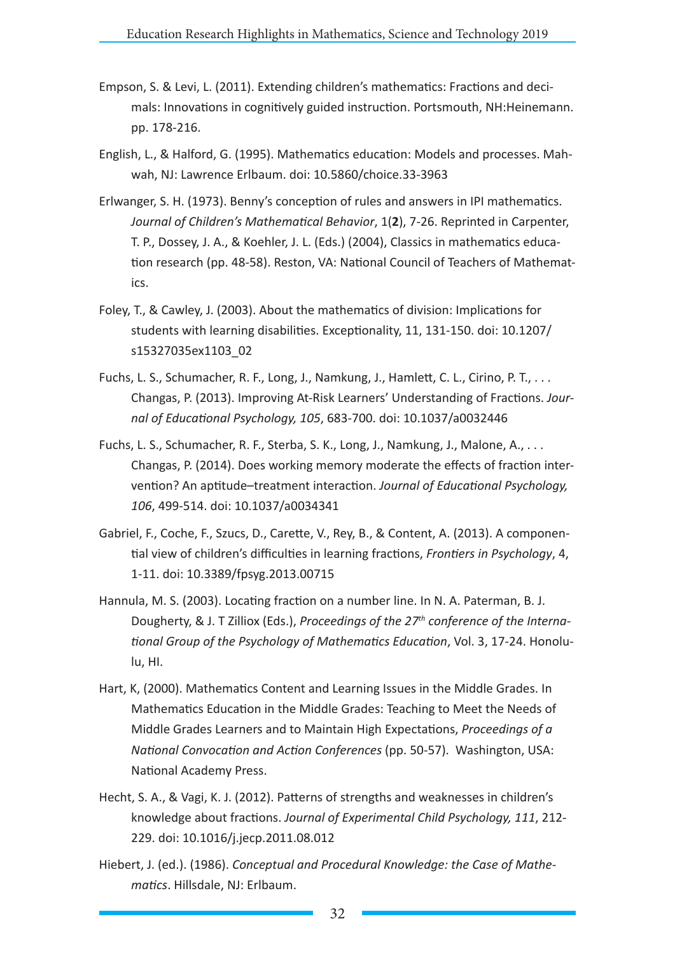- Empson, S. & Levi, L. (2011). Extending children's mathematics: Fractions and decimals: Innovations in cognitively guided instruction. Portsmouth, NH:Heinemann. pp. 178-216.
- English, L., & Halford, G. (1995). Mathematics education: Models and processes. Mahwah, NJ: Lawrence Erlbaum. doi: 10.5860/choice.33-3963
- Erlwanger, S. H. (1973). Benny's conception of rules and answers in IPI mathematics. *Journal of Children's Mathematical Behavior*, 1(**2**), 7-26. Reprinted in Carpenter, T. P., Dossey, J. A., & Koehler, J. L. (Eds.) (2004), Classics in mathematics education research (pp. 48-58). Reston, VA: National Council of Teachers of Mathematics.
- Foley, T., & Cawley, J. (2003). About the mathematics of division: Implications for students with learning disabilities. Exceptionality, 11, 131-150. doi: 10.1207/ s15327035ex1103\_02
- Fuchs, L. S., Schumacher, R. F., Long, J., Namkung, J., Hamlett, C. L., Cirino, P. T., . . . Changas, P. (2013). Improving At-Risk Learners' Understanding of Fractions. *Journal of Educational Psychology, 105*, 683-700. doi: 10.1037/a0032446
- Fuchs, L. S., Schumacher, R. F., Sterba, S. K., Long, J., Namkung, J., Malone, A., . . . Changas, P. (2014). Does working memory moderate the effects of fraction intervention? An aptitude–treatment interaction. *Journal of Educational Psychology, 106*, 499-514. doi: 10.1037/a0034341
- Gabriel, F., Coche, F., Szucs, D., Carette, V., Rey, B., & Content, A. (2013). A componential view of children's difficulties in learning fractions, *Frontiers in Psychology*, 4, 1-11. doi: 10.3389/fpsyg.2013.00715
- Hannula, M. S. (2003). Locating fraction on a number line. In N. A. Paterman, B. J. Dougherty, & J. T Zilliox (Eds.), *Proceedings of the 27th conference of the International Group of the Psychology of Mathematics Education*, Vol. 3, 17-24. Honolulu, HI.
- Hart, K, (2000). Mathematics Content and Learning Issues in the Middle Grades. In Mathematics Education in the Middle Grades: Teaching to Meet the Needs of Middle Grades Learners and to Maintain High Expectations, *Proceedings of a National Convocation and Action Conferences* (pp. 50-57). Washington, USA: National Academy Press.
- Hecht, S. A., & Vagi, K. J. (2012). Patterns of strengths and weaknesses in children's knowledge about fractions. *Journal of Experimental Child Psychology, 111*, 212- 229. doi: 10.1016/j.jecp.2011.08.012
- Hiebert, J. (ed.). (1986). *Conceptual and Procedural Knowledge: the Case of Mathematics*. Hillsdale, NJ: Erlbaum.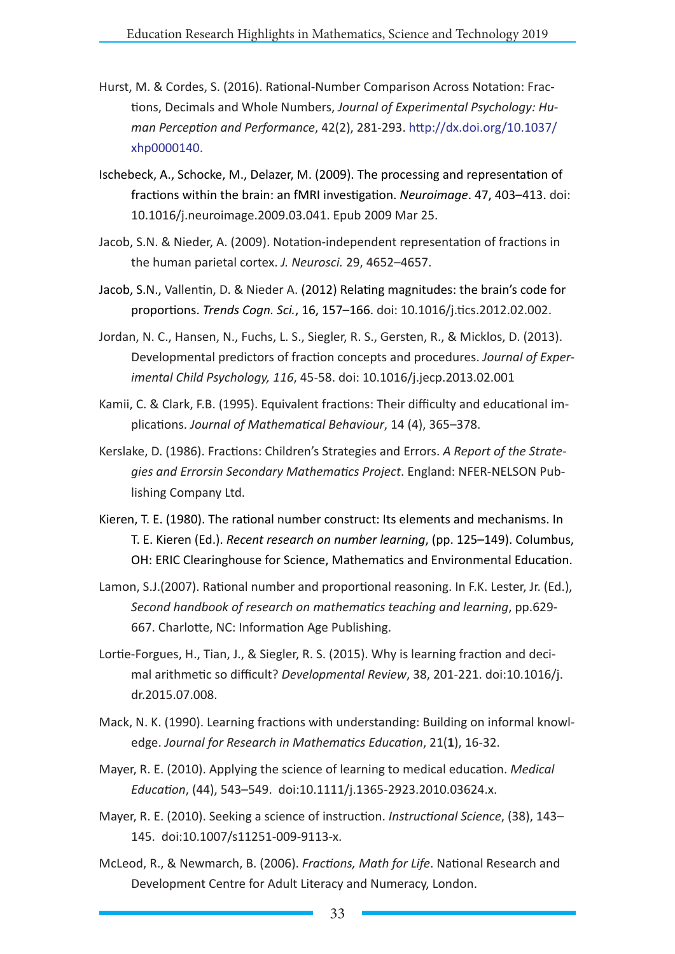- Hurst, M. & Cordes, S. (2016). Rational-Number Comparison Across Notation: Fractions, Decimals and Whole Numbers, *Journal of Experimental Psychology: Human Perception and Performance*, 42(2), 281-293. http://dx.doi.org/10.1037/ xhp0000140.
- Ischebeck, A., Schocke, M., Delazer, M. (2009). The processing and representation of fractions within the brain: an fMRI investigation. *Neuroimage*. 47, 403–413. doi: 10.1016/j.neuroimage.2009.03.041. Epub 2009 Mar 25.
- Jacob, S.N. & Nieder, A. (2009). Notation-independent representation of fractions in the human parietal cortex. *J. Neurosci.* 29, 4652–4657.
- Jacob, S.N., Vallentin, D. & Nieder A. (2012) Relating magnitudes: the brain's code for proportions. *Trends Cogn. Sci.*, 16, 157–166. doi: 10.1016/j.tics.2012.02.002.
- Jordan, N. C., Hansen, N., Fuchs, L. S., Siegler, R. S., Gersten, R., & Micklos, D. (2013). Developmental predictors of fraction concepts and procedures. *Journal of Experimental Child Psychology, 116*, 45-58. doi: 10.1016/j.jecp.2013.02.001
- Kamii, C. & Clark, F.B. (1995). Equivalent fractions: Their difficulty and educational implications. *Journal of Mathematical Behaviour*, 14 (4), 365–378.
- Kerslake, D. (1986). Fractions: Children's Strategies and Errors. *A Report of the Strategies and Errorsin Secondary Mathematics Project*. England: NFER-NELSON Publishing Company Ltd.
- Kieren, T. E. (1980). The rational number construct: Its elements and mechanisms. In T. E. Kieren (Ed.). *Recent research on number learning*, (pp. 125–149). Columbus, OH: ERIC Clearinghouse for Science, Mathematics and Environmental Education.
- Lamon, S.J.(2007). Rational number and proportional reasoning. In F.K. Lester, Jr. (Ed.), *Second handbook of research on mathematics teaching and learning*, pp.629- 667. Charlotte, NC: Information Age Publishing.
- Lortie-Forgues, H., Tian, J., & Siegler, R. S. (2015). Why is learning fraction and decimal arithmetic so difficult? *Developmental Review*, 38, 201-221. doi:10.1016/j. dr.2015.07.008.
- Mack, N. K. (1990). Learning fractions with understanding: Building on informal knowledge. *Journal for Research in Mathematics Education*, 21(**1**), 16-32.
- Mayer, R. E. (2010). Applying the science of learning to medical education. *Medical Education*, (44), 543–549. doi:10.1111/j.1365-2923.2010.03624.x.
- Mayer, R. E. (2010). Seeking a science of instruction. *Instructional Science*, (38), 143– 145. doi:10.1007/s11251-009-9113-x.
- McLeod, R., & Newmarch, B. (2006). *Fractions, Math for Life*. National Research and Development Centre for Adult Literacy and Numeracy, London.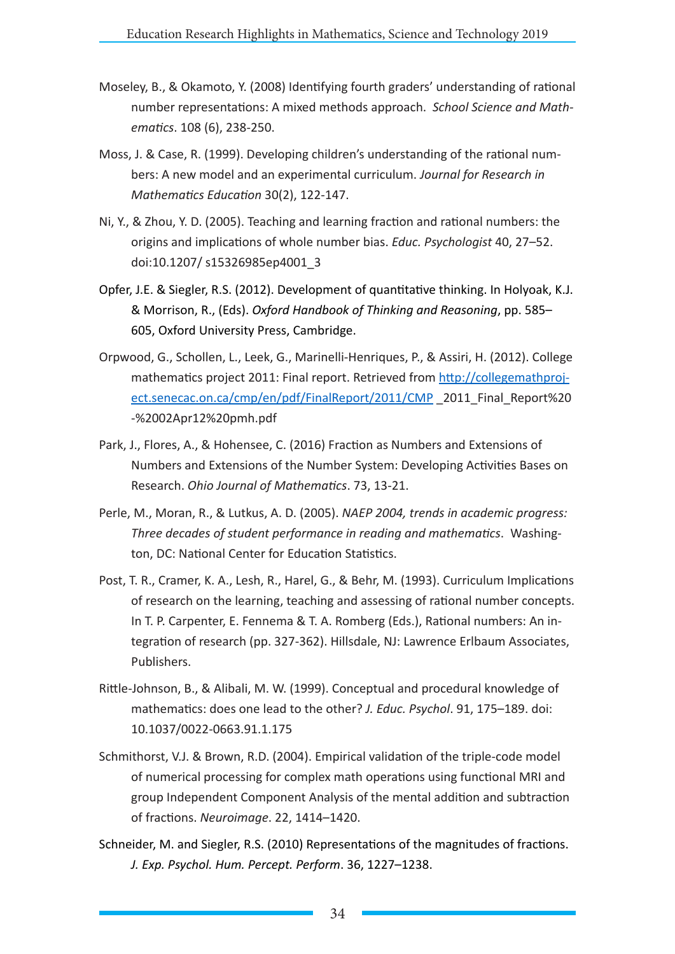- Moseley, B., & Okamoto, Y. (2008) Identifying fourth graders' understanding of rational number representations: A mixed methods approach. *School Science and Mathematics*. 108 (6), 238-250.
- Moss, J. & Case, R. (1999). Developing children's understanding of the rational numbers: A new model and an experimental curriculum. *Journal for Research in Mathematics Education* 30(2), 122-147.
- Ni, Y., & Zhou, Y. D. (2005). Teaching and learning fraction and rational numbers: the origins and implications of whole number bias. *Educ. Psychologist* 40, 27–52. doi:10.1207/ s15326985ep4001\_3
- Opfer, J.E. & Siegler, R.S. (2012). Development of quantitative thinking. In Holyoak, K.J. & Morrison, R., (Eds). *Oxford Handbook of Thinking and Reasoning*, pp. 585– 605, Oxford University Press, Cambridge.
- Orpwood, G., Schollen, L., Leek, G., Marinelli-Henriques, P., & Assiri, H. (2012). College mathematics project 2011: Final report. Retrieved from http://collegemathproject.senecac.on.ca/cmp/en/pdf/FinalReport/2011/CMP 2011 Final Report%20 -%2002Apr12%20pmh.pdf
- Park, J., Flores, A., & Hohensee, C. (2016) Fraction as Numbers and Extensions of Numbers and Extensions of the Number System: Developing Activities Bases on Research. *Ohio Journal of Mathematics*. 73, 13-21.
- Perle, M., Moran, R., & Lutkus, A. D. (2005). *NAEP 2004, trends in academic progress: Three decades of student performance in reading and mathematics*. Washington, DC: National Center for Education Statistics.
- Post, T. R., Cramer, K. A., Lesh, R., Harel, G., & Behr, M. (1993). Curriculum Implications of research on the learning, teaching and assessing of rational number concepts. In T. P. Carpenter, E. Fennema & T. A. Romberg (Eds.), Rational numbers: An integration of research (pp. 327-362). Hillsdale, NJ: Lawrence Erlbaum Associates, Publishers.
- Rittle-Johnson, B., & Alibali, M. W. (1999). Conceptual and procedural knowledge of mathematics: does one lead to the other? *J. Educ. Psychol*. 91, 175–189. doi: 10.1037/0022-0663.91.1.175
- Schmithorst, V.J. & Brown, R.D. (2004). Empirical validation of the triple-code model of numerical processing for complex math operations using functional MRI and group Independent Component Analysis of the mental addition and subtraction of fractions. *Neuroimage*. 22, 1414–1420.
- Schneider, M. and Siegler, R.S. (2010) Representations of the magnitudes of fractions. *J. Exp. Psychol. Hum. Percept. Perform*. 36, 1227–1238.